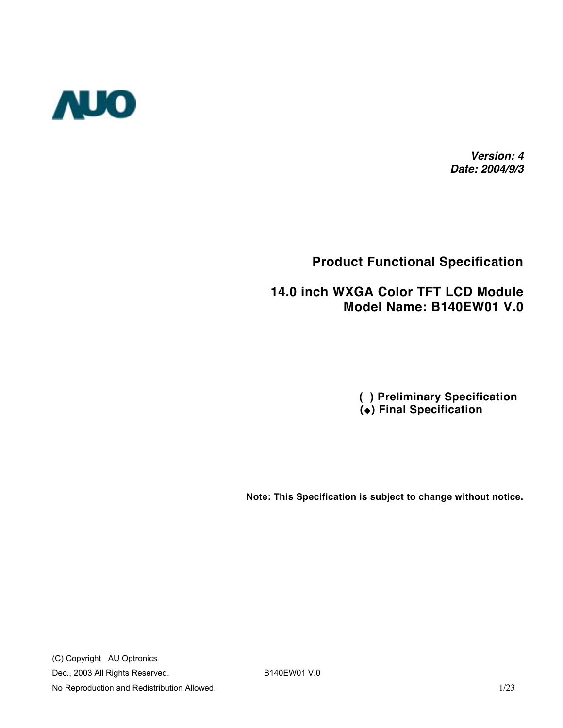

*Version: 4 Date: 2004/9/3*

#### **Product Functional Specification**

#### **14.0 inch WXGA Color TFT LCD Module Model Name: B140EW01 V.0**

 **( ) Preliminary Specification () Final Specification**

**Note: This Specification is subject to change without notice.**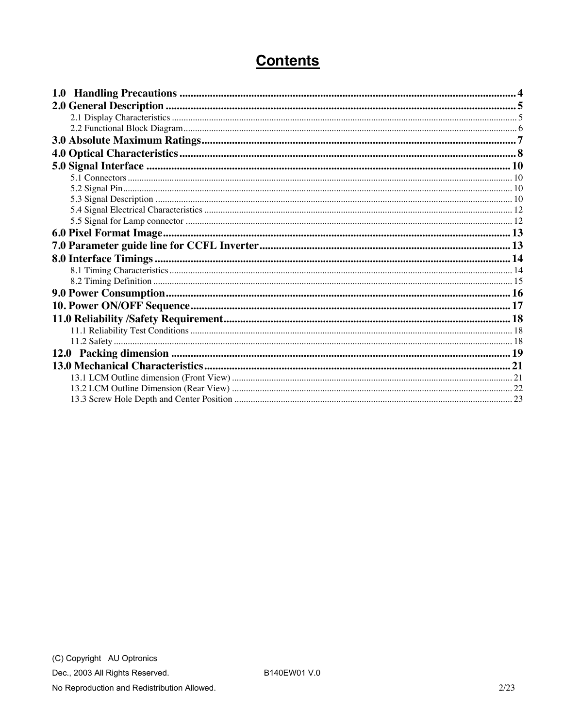## **Contents**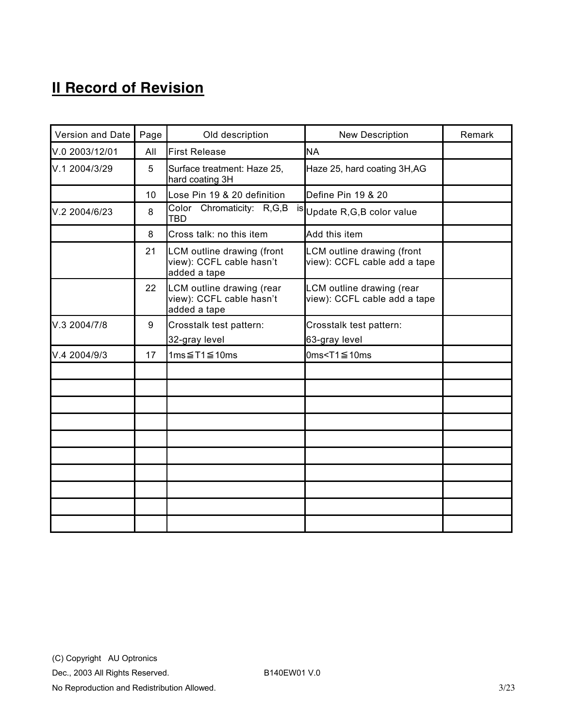# **II Record of Revision**

| Version and Date | Page | Old description                                                        | New Description                                            | Remark |
|------------------|------|------------------------------------------------------------------------|------------------------------------------------------------|--------|
| V.0 2003/12/01   | All  | <b>First Release</b>                                                   | <b>NA</b>                                                  |        |
| V.1 2004/3/29    | 5    | Surface treatment: Haze 25,<br>hard coating 3H                         | Haze 25, hard coating 3H, AG                               |        |
|                  | 10   | Lose Pin 19 & 20 definition                                            | Define Pin 19 & 20                                         |        |
| V.2 2004/6/23    | 8    | Color Chromaticity: R,G,B<br><b>TBD</b>                                | is Update R, G, B color value                              |        |
|                  | 8    | Cross talk: no this item                                               | Add this item                                              |        |
|                  | 21   | LCM outline drawing (front<br>view): CCFL cable hasn't<br>added a tape | LCM outline drawing (front<br>view): CCFL cable add a tape |        |
|                  | 22   | LCM outline drawing (rear<br>view): CCFL cable hasn't<br>added a tape  | LCM outline drawing (rear<br>view): CCFL cable add a tape  |        |
| V.3 2004/7/8     | 9    | Crosstalk test pattern:<br>32-gray level                               | Crosstalk test pattern:<br>63-gray level                   |        |
| V.4 2004/9/3     | 17   | 1ms $≤$ T1 $≤$ 10ms                                                    | 0ms <t1<math>\leq10ms</t1<math>                            |        |
|                  |      |                                                                        |                                                            |        |
|                  |      |                                                                        |                                                            |        |
|                  |      |                                                                        |                                                            |        |
|                  |      |                                                                        |                                                            |        |
|                  |      |                                                                        |                                                            |        |
|                  |      |                                                                        |                                                            |        |
|                  |      |                                                                        |                                                            |        |
|                  |      |                                                                        |                                                            |        |
|                  |      |                                                                        |                                                            |        |
|                  |      |                                                                        |                                                            |        |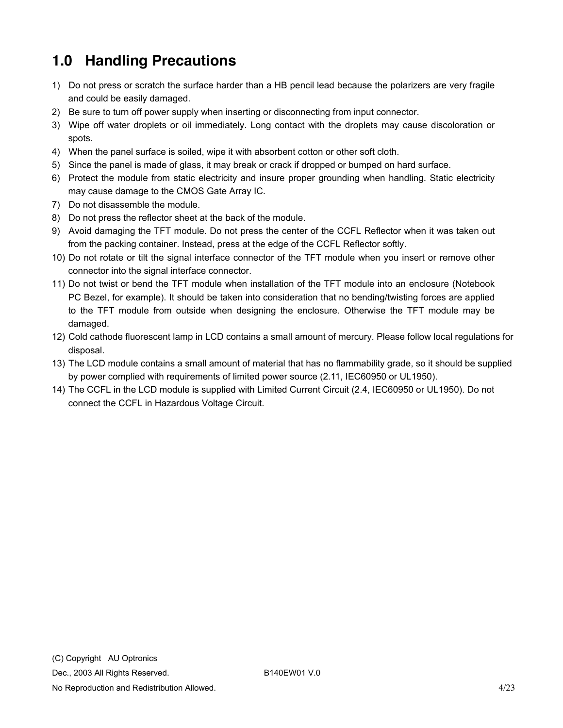# <span id="page-3-0"></span>**1.0 Handling Precautions**

- 1) Do not press or scratch the surface harder than a HB pencil lead because the polarizers are very fragile and could be easily damaged.
- 2) Be sure to turn off power supply when inserting or disconnecting from input connector.
- 3) Wipe off water droplets or oil immediately. Long contact with the droplets may cause discoloration or spots.
- 4) When the panel surface is soiled, wipe it with absorbent cotton or other soft cloth.
- 5) Since the panel is made of glass, it may break or crack if dropped or bumped on hard surface.
- 6) Protect the module from static electricity and insure proper grounding when handling. Static electricity may cause damage to the CMOS Gate Array IC.
- 7) Do not disassemble the module.
- 8) Do not press the reflector sheet at the back of the module.
- 9) Avoid damaging the TFT module. Do not press the center of the CCFL Reflector when it was taken out from the packing container. Instead, press at the edge of the CCFL Reflector softly.
- 10) Do not rotate or tilt the signal interface connector of the TFT module when you insert or remove other connector into the signal interface connector.
- 11) Do not twist or bend the TFT module when installation of the TFT module into an enclosure (Notebook PC Bezel, for example). It should be taken into consideration that no bending/twisting forces are applied to the TFT module from outside when designing the enclosure. Otherwise the TFT module may be damaged.
- 12) Cold cathode fluorescent lamp in LCD contains a small amount of mercury. Please follow local regulations for disposal.
- 13) The LCD module contains a small amount of material that has no flammability grade, so it should be supplied by power complied with requirements of limited power source (2.11, IEC60950 or UL1950).
- 14) The CCFL in the LCD module is supplied with Limited Current Circuit (2.4, IEC60950 or UL1950). Do not connect the CCFL in Hazardous Voltage Circuit.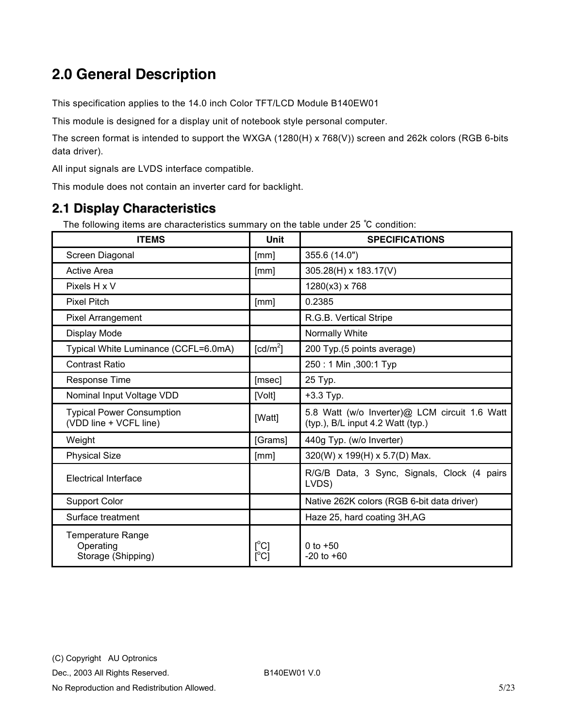# <span id="page-4-0"></span>**2.0 General Description**

This specification applies to the 14.0 inch Color TFT/LCD Module B140EW01

This module is designed for a display unit of notebook style personal computer.

The screen format is intended to support the WXGA (1280(H) x 768(V)) screen and 262k colors (RGB 6-bits data driver).

All input signals are LVDS interface compatible.

This module does not contain an inverter card for backlight.

#### **2.1 Display Characteristics**

The following items are characteristics summary on the table under 25 ℃ condition:

| <b>ITEMS</b>                                                | Unit                               | <b>SPECIFICATIONS</b>                                                              |
|-------------------------------------------------------------|------------------------------------|------------------------------------------------------------------------------------|
| Screen Diagonal                                             | [mm]                               | 355.6 (14.0")                                                                      |
| <b>Active Area</b>                                          | [mm]                               | 305.28(H) x 183.17(V)                                                              |
| Pixels H x V                                                |                                    | 1280(x3) x 768                                                                     |
| <b>Pixel Pitch</b>                                          | [mm]                               | 0.2385                                                                             |
| <b>Pixel Arrangement</b>                                    |                                    | R.G.B. Vertical Stripe                                                             |
| Display Mode                                                |                                    | Normally White                                                                     |
| Typical White Luminance (CCFL=6.0mA)                        | [cd/m <sup>2</sup> ]               | 200 Typ.(5 points average)                                                         |
| <b>Contrast Ratio</b>                                       |                                    | 250: 1 Min , 300: 1 Typ                                                            |
| Response Time                                               | [msec]                             | 25 Typ.                                                                            |
| Nominal Input Voltage VDD                                   | [Volt]                             | +3.3 Typ.                                                                          |
| <b>Typical Power Consumption</b><br>(VDD line + VCFL line)  | [Watt]                             | 5.8 Watt (w/o Inverter)@ LCM circuit 1.6 Watt<br>(typ.), B/L input 4.2 Watt (typ.) |
| Weight                                                      | [Grams]                            | 440g Typ. (w/o Inverter)                                                           |
| <b>Physical Size</b>                                        | [mm]                               | 320(W) x 199(H) x 5.7(D) Max.                                                      |
| Electrical Interface                                        |                                    | R/G/B Data, 3 Sync, Signals, Clock (4 pairs<br>LVDS)                               |
| <b>Support Color</b>                                        |                                    | Native 262K colors (RGB 6-bit data driver)                                         |
| Surface treatment                                           |                                    | Haze 25, hard coating 3H, AG                                                       |
| <b>Temperature Range</b><br>Operating<br>Storage (Shipping) | $[^{\circ}C]$<br>$\rm [^{\circ}C]$ | 0 to $+50$<br>$-20$ to $+60$                                                       |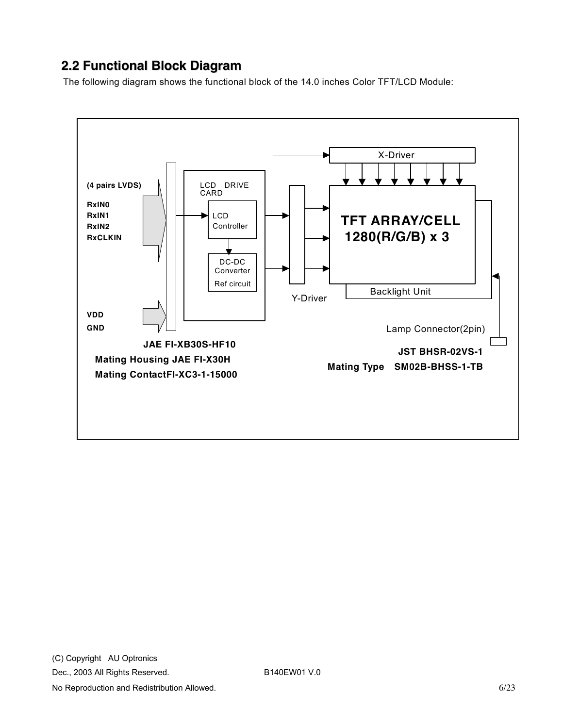#### <span id="page-5-0"></span>**2.2 Functional Block Diagram**

The following diagram shows the functional block of the 14.0 inches Color TFT/LCD Module:

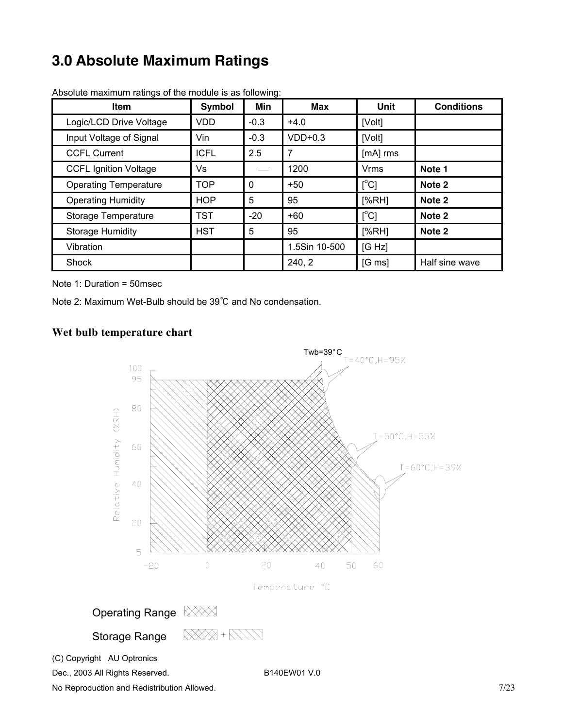# <span id="page-6-0"></span>**3.0 Absolute Maximum Ratings**

| <b>Item</b>                  | Symbol      | <b>Min</b> | Max           | Unit                | <b>Conditions</b> |
|------------------------------|-------------|------------|---------------|---------------------|-------------------|
| Logic/LCD Drive Voltage      | <b>VDD</b>  | $-0.3$     | $+4.0$        | [Volt]              |                   |
| Input Voltage of Signal      | Vin         | $-0.3$     | $VDD+0.3$     | [Volt]              |                   |
| <b>CCFL Current</b>          | <b>ICFL</b> | 2.5        | 7             | [mA] rms            |                   |
| <b>CCFL Ignition Voltage</b> | Vs          |            | 1200          | <b>Vrms</b>         | Note 1            |
| <b>Operating Temperature</b> | <b>TOP</b>  | 0          | $+50$         | [°C]                | Note 2            |
| <b>Operating Humidity</b>    | <b>HOP</b>  | 5          | 95            | [%RH]               | Note 2            |
| Storage Temperature          | <b>TST</b>  | $-20$      | $+60$         | $\Gamma^{\circ}$ Cl | Note 2            |
| <b>Storage Humidity</b>      | <b>HST</b>  | 5          | 95            | [%RH]               | Note 2            |
| Vibration                    |             |            | 1.5Sin 10-500 | [G Hz]              |                   |
| Shock                        |             |            | 240, 2        | $[G \, ms]$         | Half sine wave    |

Absolute maximum ratings of the module is as following:

Note 1: Duration = 50msec

Note 2: Maximum Wet-Bulb should be 39℃ and No condensation.

#### **Wet bulb temperature chart**



Dec., 2003 All Rights Reserved. B140EW01 V.0

No Reproduction and Redistribution Allowed. The state of the state of the state of the state of the state of the state of the state of the state of the state of the state of the state of the state of the state of the state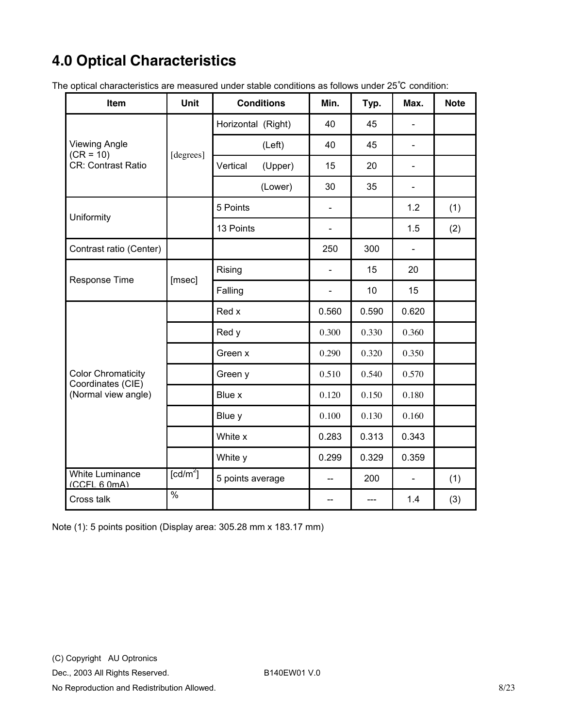# <span id="page-7-0"></span>**4.0 Optical Characteristics**

The optical characteristics are measured under stable conditions as follows under 25℃ condition:

| Item                                           | Unit                 | <b>Conditions</b>  |         | Min.                         | Typ.  | Max.                     | <b>Note</b> |
|------------------------------------------------|----------------------|--------------------|---------|------------------------------|-------|--------------------------|-------------|
|                                                |                      | Horizontal (Right) |         | 40                           | 45    |                          |             |
| <b>Viewing Angle</b><br>$(CR = 10)$            |                      |                    | (Left)  | 40                           | 45    | $\overline{a}$           |             |
| <b>CR: Contrast Ratio</b>                      | [degrees]            | Vertical           | (Upper) | 15                           | 20    | ÷                        |             |
|                                                |                      |                    | (Lower) | 30                           | 35    | ÷.                       |             |
| Uniformity                                     |                      | 5 Points           |         | $\qquad \qquad \blacksquare$ |       | 1.2                      | (1)         |
|                                                |                      | 13 Points          |         | $\overline{\phantom{0}}$     |       | 1.5                      | (2)         |
| Contrast ratio (Center)                        |                      |                    |         | 250                          | 300   | $\overline{\phantom{a}}$ |             |
| Response Time<br>[msec]                        |                      | Rising             |         | $\overline{\phantom{0}}$     | 15    | 20                       |             |
|                                                |                      | Falling            |         | $\overline{\phantom{0}}$     | 10    | 15                       |             |
|                                                |                      | Red x              |         | 0.560                        | 0.590 | 0.620                    |             |
|                                                |                      | Red y              |         | 0.300                        | 0.330 | 0.360                    |             |
|                                                |                      | Green x            |         | 0.290                        | 0.320 | 0.350                    |             |
| <b>Color Chromaticity</b><br>Coordinates (CIE) |                      | Green y            |         | 0.510                        | 0.540 | 0.570                    |             |
| (Normal view angle)                            |                      | Blue x             |         | 0.120                        | 0.150 | 0.180                    |             |
|                                                |                      | Blue y             |         | 0.100                        | 0.130 | 0.160                    |             |
|                                                |                      | White x            |         | 0.283                        | 0.313 | 0.343                    |             |
|                                                |                      | White y            |         | 0.299                        | 0.329 | 0.359                    |             |
| <b>White Luminance</b><br>(CCFL 6 0mA)         | [cd/m <sup>2</sup> ] | 5 points average   |         |                              | 200   |                          | (1)         |
| Cross talk                                     | %                    |                    |         | --                           | $---$ | 1.4                      | (3)         |

Note (1): 5 points position (Display area: 305.28 mm x 183.17 mm)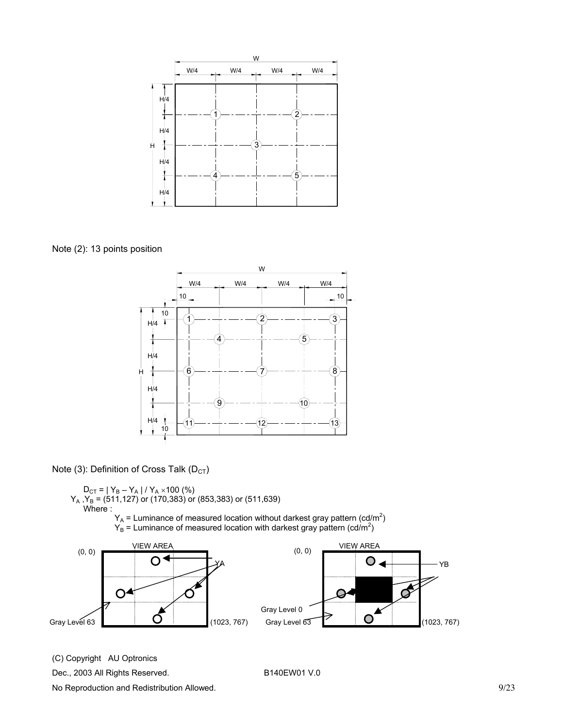

Note (2): 13 points position



Note (3): Definition of Cross Talk ( $D_{CT}$ )

 $D_{CT}$  = | Y<sub>B</sub> – Y<sub>A</sub> | / Y<sub>A</sub> × 100 (%)  $Y_A$  , $Y_B$  = (511,127) or (170,383) or (853,383) or (511,639) Where :  $Y_A$  = Luminance of measured location without darkest gray pattern (cd/m<sup>2</sup>)  $Y_B =$  Luminance of measured location with darkest gray pattern (cd/m<sup>2</sup>)



(C) Copyright AU Optronics

Dec., 2003 All Rights Reserved. B140EW01 V.0

No Reproduction and Redistribution Allowed. 69/23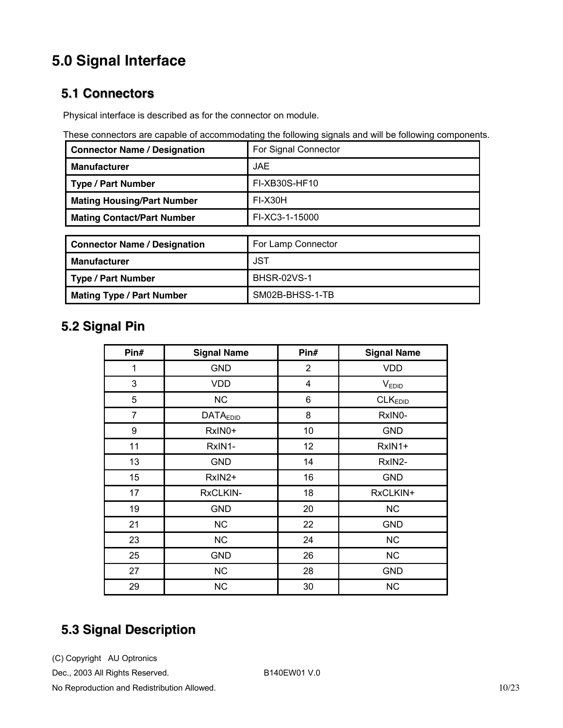# <span id="page-9-0"></span>**5.0 Signal Interface**

#### **5.1 Connectors**

Physical interface is described as for the connector on module.

| These connectors are capable of accommodating the following signals and will be following components. |  |  |
|-------------------------------------------------------------------------------------------------------|--|--|
|                                                                                                       |  |  |

| <b>Connector Name / Designation</b> | For Signal Connector |
|-------------------------------------|----------------------|
| <b>Manufacturer</b>                 | <b>JAE</b>           |
| <b>Type / Part Number</b>           | FI-XB30S-HF10        |
| <b>Mating Housing/Part Number</b>   | FI-X30H              |
| <b>Mating Contact/Part Number</b>   | FI-XC3-1-15000       |
|                                     |                      |
| <b>Connector Name / Designation</b> | For Lamp Connector   |
| <b>Manufacturer</b>                 | <b>JST</b>           |
| <b>Type / Part Number</b>           | <b>BHSR-02VS-1</b>   |
| <b>Mating Type / Part Number</b>    | SM02B-BHSS-1-TB      |

## **5.2 Signal Pin**

| Pin#           | <b>Signal Name</b> | Pin#           | <b>Signal Name</b>  |
|----------------|--------------------|----------------|---------------------|
| 1              | <b>GND</b>         | $\overline{2}$ | <b>VDD</b>          |
| 3              | <b>VDD</b>         | 4              | V <sub>EDID</sub>   |
| 5              | <b>NC</b>          | 6              | CLK <sub>EDID</sub> |
| $\overline{7}$ | <b>DATAEDID</b>    | 8              | RxIN0-              |
| 9              | RxIN0+             | 10             | <b>GND</b>          |
| 11             | RxIN1-             | 12             | RxIN1+              |
| 13             | <b>GND</b>         | 14             | RxIN2-              |
| 15             | RxIN2+             | 16             | <b>GND</b>          |
| 17             | RxCLKIN-           | 18             | RxCLKIN+            |
| 19             | <b>GND</b>         | 20             | <b>NC</b>           |
| 21             | <b>NC</b>          | 22             | <b>GND</b>          |
| 23             | NC                 | 24             | NC                  |
| 25             | <b>GND</b>         | 26             | <b>NC</b>           |
| 27             | <b>NC</b>          | 28             | <b>GND</b>          |
| 29             | <b>NC</b>          | 30             | <b>NC</b>           |

## **5.3 Signal Description**

(C) Copyright AU Optronics

Dec., 2003 All Rights Reserved. B140EW01 V.0

No Reproduction and Redistribution Allowed. 10/23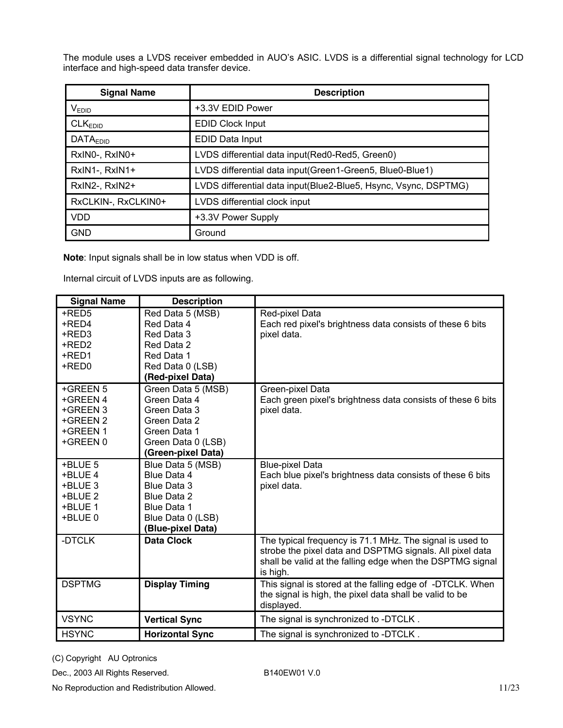The module uses a LVDS receiver embedded in AUO's ASIC. LVDS is a differential signal technology for LCD interface and high-speed data transfer device.

| <b>Signal Name</b>   | <b>Description</b>                                              |
|----------------------|-----------------------------------------------------------------|
| $V_{EDID}$           | +3.3V EDID Power                                                |
| CLK <sub>EDID</sub>  | <b>EDID Clock Input</b>                                         |
| DATA <sub>EDID</sub> | EDID Data Input                                                 |
| RxINO-, RxINO+       | LVDS differential data input(Red0-Red5, Green0)                 |
| RxIN1-, RxIN1+       | LVDS differential data input (Green1-Green5, Blue0-Blue1)       |
| RxIN2-, RxIN2+       | LVDS differential data input(Blue2-Blue5, Hsync, Vsync, DSPTMG) |
| RxCLKIN-, RxCLKIN0+  | LVDS differential clock input                                   |
| <b>VDD</b>           | +3.3V Power Supply                                              |
| <b>GND</b>           | Ground                                                          |

**Note**: Input signals shall be in low status when VDD is off.

Internal circuit of LVDS inputs are as following.

| <b>Signal Name</b> | <b>Description</b>     |                                                             |
|--------------------|------------------------|-------------------------------------------------------------|
| +RED5              | Red Data 5 (MSB)       | Red-pixel Data                                              |
| +RED4              | Red Data 4             | Each red pixel's brightness data consists of these 6 bits   |
| +RED3              | Red Data 3             | pixel data.                                                 |
| +RED2              | Red Data 2             |                                                             |
| +RED1              | Red Data 1             |                                                             |
| +RED0              | Red Data 0 (LSB)       |                                                             |
|                    | (Red-pixel Data)       |                                                             |
| +GREEN 5           | Green Data 5 (MSB)     | Green-pixel Data                                            |
| +GREEN 4           | Green Data 4           | Each green pixel's brightness data consists of these 6 bits |
| +GREEN 3           | Green Data 3           | pixel data.                                                 |
| +GREEN 2           | Green Data 2           |                                                             |
| +GREEN 1           | Green Data 1           |                                                             |
| +GREEN 0           | Green Data 0 (LSB)     |                                                             |
|                    | (Green-pixel Data)     |                                                             |
| +BLUE 5            | Blue Data 5 (MSB)      | <b>Blue-pixel Data</b>                                      |
| +BLUE 4            | Blue Data 4            | Each blue pixel's brightness data consists of these 6 bits  |
| +BLUE 3            | <b>Blue Data 3</b>     | pixel data.                                                 |
| +BLUE 2            | Blue Data 2            |                                                             |
| +BLUE 1            | <b>Blue Data 1</b>     |                                                             |
| +BLUE 0            | Blue Data 0 (LSB)      |                                                             |
|                    | (Blue-pixel Data)      |                                                             |
| -DTCLK             | <b>Data Clock</b>      | The typical frequency is 71.1 MHz. The signal is used to    |
|                    |                        | strobe the pixel data and DSPTMG signals. All pixel data    |
|                    |                        | shall be valid at the falling edge when the DSPTMG signal   |
|                    |                        | is high.                                                    |
| <b>DSPTMG</b>      | <b>Display Timing</b>  | This signal is stored at the falling edge of -DTCLK. When   |
|                    |                        | the signal is high, the pixel data shall be valid to be     |
|                    |                        | displayed.                                                  |
| <b>VSYNC</b>       | <b>Vertical Sync</b>   | The signal is synchronized to -DTCLK.                       |
| <b>HSYNC</b>       | <b>Horizontal Sync</b> | The signal is synchronized to -DTCLK.                       |

(C) Copyright AU Optronics

Dec., 2003 All Rights Reserved. B140EW01 V.0

No Reproduction and Redistribution Allowed. 11/23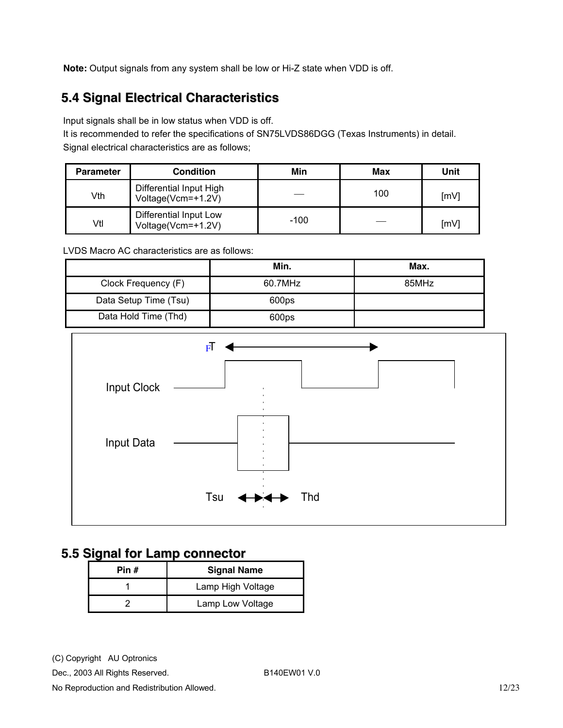<span id="page-11-0"></span>**Note:** Output signals from any system shall be low or Hi-Z state when VDD is off.

## **5.4 Signal Electrical Characteristics**

Input signals shall be in low status when VDD is off.

It is recommended to refer the specifications of SN75LVDS86DGG (Texas Instruments) in detail. Signal electrical characteristics are as follows;

| <b>Parameter</b> | <b>Condition</b>                              | Min    | Max | Unit |
|------------------|-----------------------------------------------|--------|-----|------|
| Vth              | Differential Input High<br>Voltage(Vcm=+1.2V) |        | 100 | [mV] |
| Vtl              | Differential Input Low<br>Voltage(Vcm=+1.2V)  | $-100$ |     | [mV] |

LVDS Macro AC characteristics are as follows:

|                       | Min.              | Max.  |
|-----------------------|-------------------|-------|
| Clock Frequency (F)   | 60.7MHz           | 85MHz |
| Data Setup Time (Tsu) | 600 <sub>ps</sub> |       |
| Data Hold Time (Thd)  | 600ps             |       |



#### **5.5 Signal for Lamp connector**

| Pin # | <b>Signal Name</b> |
|-------|--------------------|
|       | Lamp High Voltage  |
|       | Lamp Low Voltage   |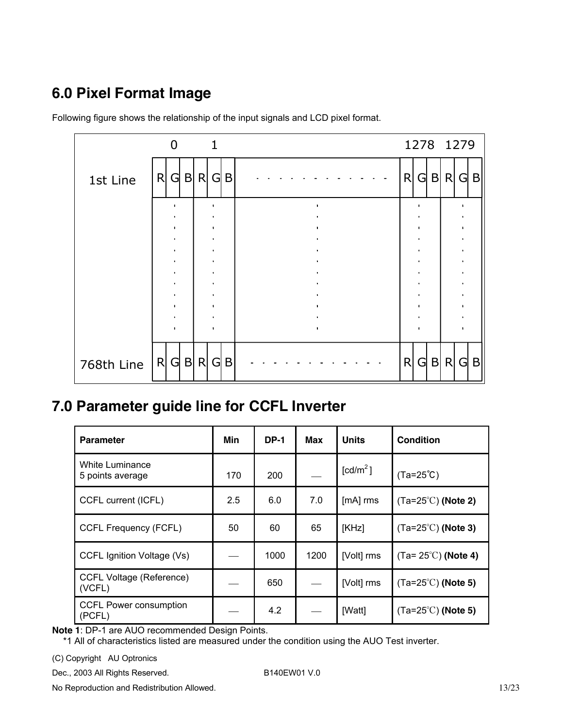# <span id="page-12-0"></span>**6.0 Pixel Format Image**

|            | 0            | $\mathbf 1$ |   | 1278 1279 |     |         |
|------------|--------------|-------------|---|-----------|-----|---------|
| 1st Line   | $G$ B R<br>R | $G \mid B$  | R | G         | B R | G B     |
|            |              |             |   |           |     |         |
|            |              |             |   |           |     |         |
|            |              |             |   |           |     |         |
|            |              |             |   |           |     |         |
|            |              |             |   |           |     |         |
|            |              |             |   |           |     |         |
|            |              |             |   |           |     |         |
| 768th Line | R G B R      | $G \mid B$  | R | G         |     | B R G B |

Following figure shows the relationship of the input signals and LCD pixel format.

## **7.0 Parameter guide line for CCFL Inverter**

| <b>Parameter</b>                           | Min | <b>DP-1</b> | Max  | <b>Units</b>         | <b>Condition</b>            |
|--------------------------------------------|-----|-------------|------|----------------------|-----------------------------|
| <b>White Luminance</b><br>5 points average | 170 | 200         |      | [cd/m <sup>2</sup> ] | $(Ta=25^{\circ}C)$          |
| CCFL current (ICFL)                        | 2.5 | 6.0         | 7.0  | [mA] rms             | $(Ta=25^{\circ}C)$ (Note 2) |
| <b>CCFL Frequency (FCFL)</b>               | 50  | 60          | 65   | [KHz]                | $(Ta=25^{\circ}C)$ (Note 3) |
| CCFL Ignition Voltage (Vs)                 |     | 1000        | 1200 | [Volt] rms           | $(Ta=25^{\circ}C)$ (Note 4) |
| <b>CCFL Voltage (Reference)</b><br>(VCFL)  |     | 650         |      | [Volt] rms           | $(Ta=25^{\circ}C)$ (Note 5) |
| <b>CCFL Power consumption</b><br>(PCFL)    |     | 4.2         |      | [Watt]               | $(Ta=25^{\circ}C)$ (Note 5) |

**Note 1**: DP-1 are AUO recommended Design Points.

\*1 All of characteristics listed are measured under the condition using the AUO Test inverter.

(C) Copyright AU Optronics

Dec., 2003 All Rights Reserved. B140EW01 V.0

No Reproduction and Redistribution Allowed. 13/23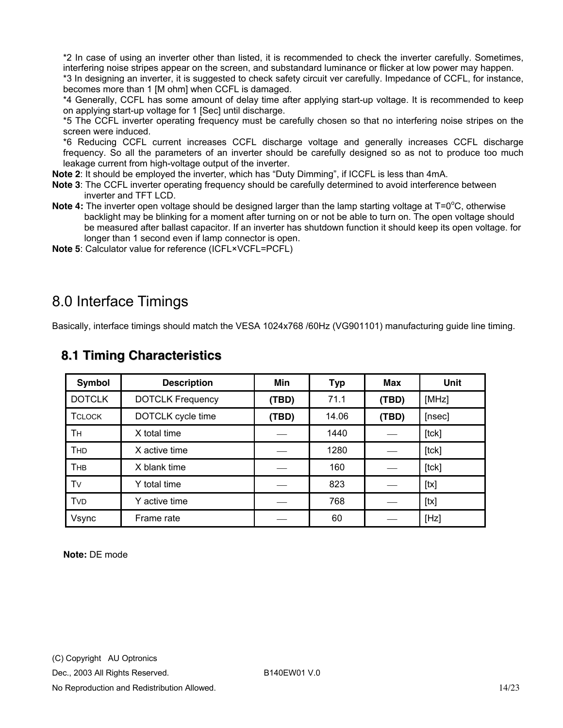<span id="page-13-0"></span>\*2 In case of using an inverter other than listed, it is recommended to check the inverter carefully. Sometimes, interfering noise stripes appear on the screen, and substandard luminance or flicker at low power may happen. \*3 In designing an inverter, it is suggested to check safety circuit ver carefully. Impedance of CCFL, for instance,

becomes more than 1 [M ohm] when CCFL is damaged. \*4 Generally, CCFL has some amount of delay time after applying start-up voltage. It is recommended to keep on applying start-up voltage for 1 [Sec] until discharge.

\*5 The CCFL inverter operating frequency must be carefully chosen so that no interfering noise stripes on the screen were induced.

\*6 Reducing CCFL current increases CCFL discharge voltage and generally increases CCFL discharge frequency. So all the parameters of an inverter should be carefully designed so as not to produce too much leakage current from high-voltage output of the inverter.

**Note 2**: It should be employed the inverter, which has "Duty Dimming", if ICCFL is less than 4mA.

- **Note 3**: The CCFL inverter operating frequency should be carefully determined to avoid interference between inverter and TFT LCD.
- Note 4: The inverter open voltage should be designed larger than the lamp starting voltage at T=0<sup>o</sup>C, otherwise backlight may be blinking for a moment after turning on or not be able to turn on. The open voltage should be measured after ballast capacitor. If an inverter has shutdown function it should keep its open voltage. for longer than 1 second even if lamp connector is open.

**Note 5**: Calculator value for reference (ICFL×VCFL=PCFL)

### 8.0 Interface Timings

Basically, interface timings should match the VESA 1024x768 /60Hz (VG901101) manufacturing guide line timing.

| Symbol        | <b>Description</b>      | <b>Min</b> | <b>Typ</b> | Max   | <b>Unit</b> |
|---------------|-------------------------|------------|------------|-------|-------------|
| <b>DOTCLK</b> | <b>DOTCLK Frequency</b> | (TBD)      | 71.1       | (TBD) | [MHz]       |
| <b>TCLOCK</b> | DOTCLK cycle time       | (TBD)      | 14.06      | (TBD) | [nsec]      |
| <b>TH</b>     | X total time            |            | 1440       |       | [tck]       |
| <b>THD</b>    | X active time           |            | 1280       |       | $[$ tck $]$ |
| <b>THB</b>    | X blank time            |            | 160        |       | [tck]       |
| Tv            | Y total time            |            | 823        |       | [tx]        |
| <b>TVD</b>    | Y active time           |            | 768        |       | [tx]        |
| Vsync         | Frame rate              |            | 60         |       | [Hz]        |

#### **8.1 Timing Characteristics**

**Note:** DE mode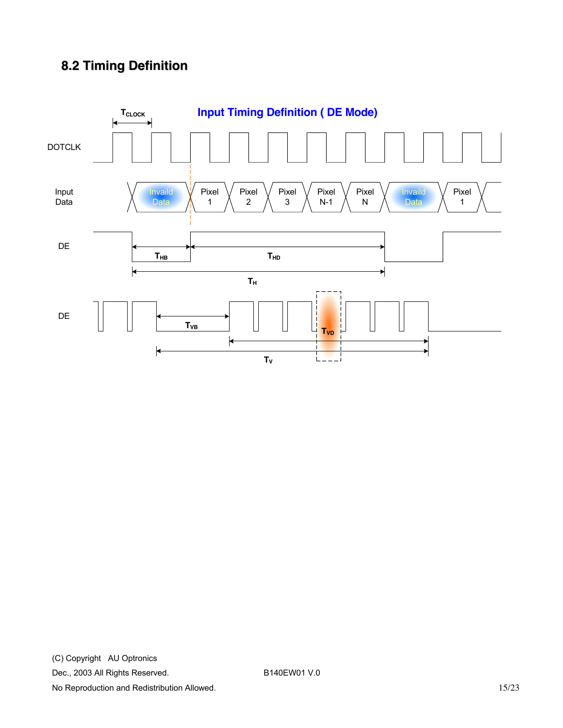## <span id="page-14-0"></span>**8.2 Timing Definition**

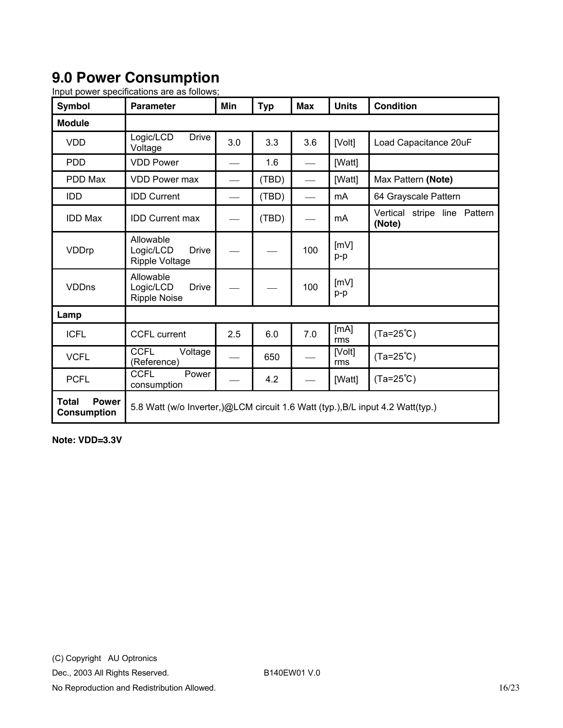## <span id="page-15-0"></span>**9.0 Power Consumption**

| <b>Symbol</b>                                      | <b>Parameter</b>                                                               | Min | <b>Typ</b> | <b>Max</b>               | <b>Units</b>  | <b>Condition</b>                       |
|----------------------------------------------------|--------------------------------------------------------------------------------|-----|------------|--------------------------|---------------|----------------------------------------|
| <b>Module</b>                                      |                                                                                |     |            |                          |               |                                        |
| <b>VDD</b>                                         | <b>Drive</b><br>Logic/LCD<br>Voltage                                           | 3.0 | 3.3        | 3.6                      | [Volt]        | Load Capacitance 20uF                  |
| <b>PDD</b>                                         | <b>VDD Power</b>                                                               |     | 1.6        |                          | [Watt]        |                                        |
| PDD Max                                            | <b>VDD Power max</b>                                                           |     | (TBD)      |                          | [Watt]        | Max Pattern (Note)                     |
| <b>IDD</b>                                         | <b>IDD Current</b>                                                             |     | (TBD)      | $\overline{\phantom{0}}$ | mA            | 64 Grayscale Pattern                   |
| <b>IDD Max</b>                                     | <b>IDD Current max</b>                                                         |     | (TBD)      |                          | mA            | Vertical stripe line Pattern<br>(Note) |
| VDDrp                                              | Allowable<br><b>Drive</b><br>Logic/LCD<br><b>Ripple Voltage</b>                |     |            | 100                      | [mV]<br>p-p   |                                        |
| <b>VDDns</b>                                       | Allowable<br>Logic/LCD<br><b>Drive</b><br><b>Ripple Noise</b>                  |     |            | 100                      | [mV]<br>p-p   |                                        |
| Lamp                                               |                                                                                |     |            |                          |               |                                        |
| <b>ICFL</b>                                        | <b>CCFL current</b>                                                            | 2.5 | 6.0        | 7.0                      | [mA]<br>rms   | $(Ta=25^{\circ}C)$                     |
| <b>VCFL</b>                                        | <b>CCFL</b><br>Voltage<br>(Reference)                                          |     | 650        |                          | [Volt]<br>rms | $(Ta=25^{\circ}C)$                     |
| <b>PCFL</b>                                        | <b>CCFL</b><br>Power<br>consumption                                            |     | 4.2        |                          | [Watt]        | $(Ta=25^{\circ}C)$                     |
| <b>Total</b><br><b>Power</b><br><b>Consumption</b> | 5.8 Watt (w/o Inverter,)@LCM circuit 1.6 Watt (typ.), B/L input 4.2 Watt(typ.) |     |            |                          |               |                                        |

Input power specifications are as follows;

**Note: VDD=3.3V**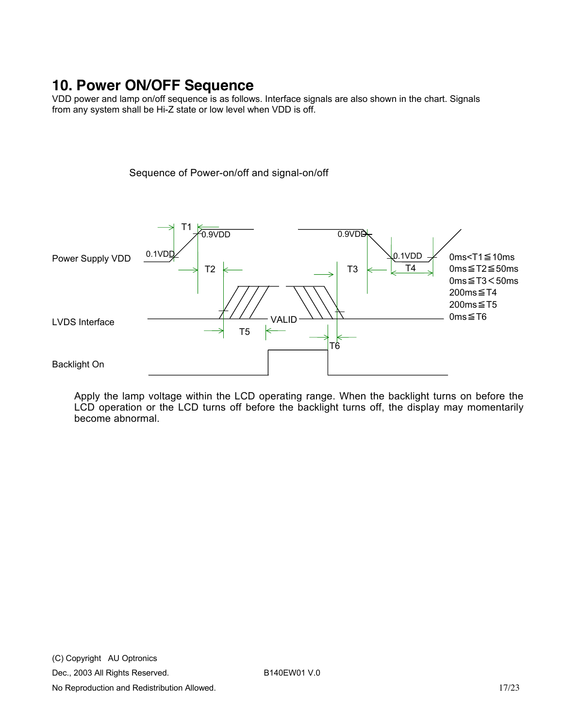## <span id="page-16-0"></span>**10. Power ON/OFF Sequence**

VDD power and lamp on/off sequence is as follows. Interface signals are also shown in the chart. Signals from any system shall be Hi-Z state or low level when VDD is off.

Sequence of Power-on/off and signal-on/off

T1 0.9VDD  $0.9V<sub>D</sub>$  $0.1$ VD $\square$ 0.1VDD 0ms<T1≦10ms Power Supply VDD 0ms≦T2≦50ms  $T2 \leftarrow$  T3  $\leftarrow$  T4 0ms≦T3<50ms 200ms≦T4 200ms≦T5 0ms≦T6 VALID LVDS Interface T5 ⇐ T6 Backlight On

Apply the lamp voltage within the LCD operating range. When the backlight turns on before the LCD operation or the LCD turns off before the backlight turns off, the display may momentarily become abnormal.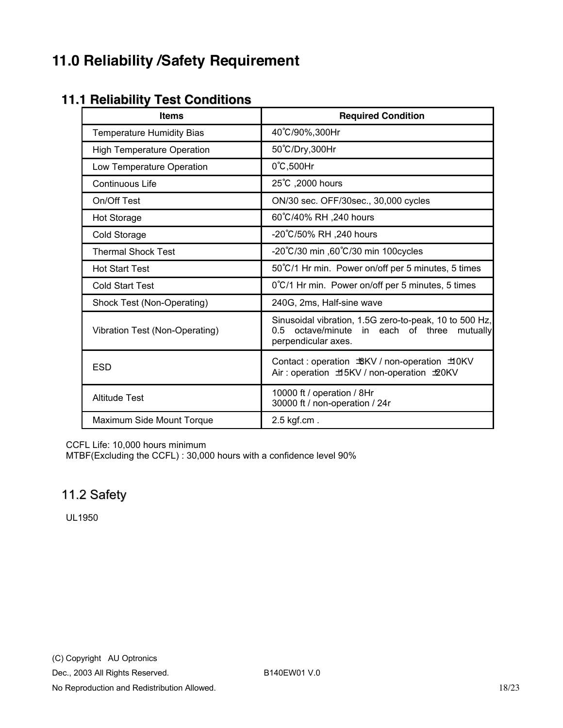## <span id="page-17-0"></span>**11.0 Reliability /Safety Requirement**

#### **11.1 Reliability Test Conditions**

| <b>Items</b>                      | <b>Required Condition</b>                                                                                                             |
|-----------------------------------|---------------------------------------------------------------------------------------------------------------------------------------|
| <b>Temperature Humidity Bias</b>  | 40°C/90%,300Hr                                                                                                                        |
| <b>High Temperature Operation</b> | 50°C/Dry,300Hr                                                                                                                        |
| Low Temperature Operation         | $0^{\circ}$ C,500Hr                                                                                                                   |
| <b>Continuous Life</b>            | 25°C, 2000 hours                                                                                                                      |
| On/Off Test                       | ON/30 sec. OFF/30sec., 30,000 cycles                                                                                                  |
| <b>Hot Storage</b>                | 60°C/40% RH ,240 hours                                                                                                                |
| Cold Storage                      | -20°C/50% RH ,240 hours                                                                                                               |
| <b>Thermal Shock Test</b>         | -20°C/30 min ,60°C/30 min 100cycles                                                                                                   |
| <b>Hot Start Test</b>             | 50°C/1 Hr min. Power on/off per 5 minutes, 5 times                                                                                    |
| <b>Cold Start Test</b>            | 0°C/1 Hr min. Power on/off per 5 minutes, 5 times                                                                                     |
| Shock Test (Non-Operating)        | 240G, 2ms, Half-sine wave                                                                                                             |
| Vibration Test (Non-Operating)    | Sinusoidal vibration, 1.5G zero-to-peak, 10 to 500 Hz,<br>0.5<br>octave/minute<br>in each of three<br>mutually<br>perpendicular axes. |
| <b>ESD</b>                        | Contact: operation $BKV / non-operation$ $\exists 0 KV$<br>Air: operation ±5KV / non-operation ±20KV                                  |
| <b>Altitude Test</b>              | 10000 ft / operation / 8Hr<br>30000 ft / non-operation / 24r                                                                          |
| Maximum Side Mount Torque         | $2.5$ kgf.cm.                                                                                                                         |

CCFL Life: 10,000 hours minimum

MTBF(Excluding the CCFL) : 30,000 hours with a confidence level 90%

#### 11.2 Safety

UL1950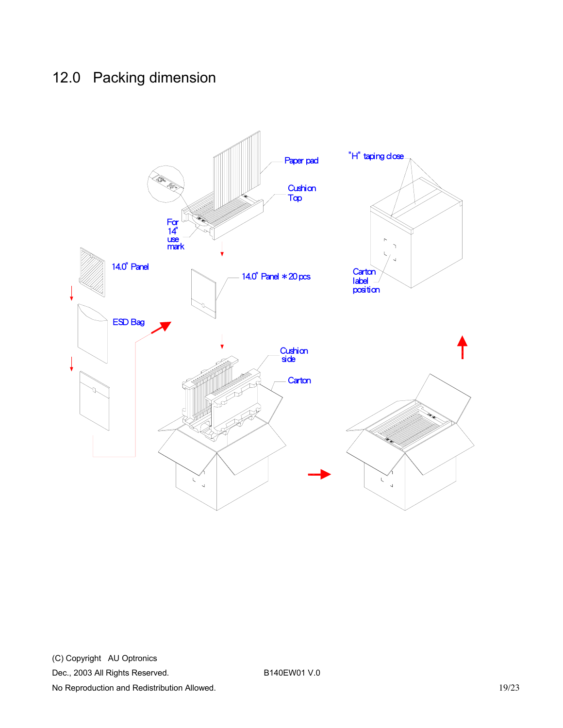## <span id="page-18-0"></span>12.0 Packing dimension

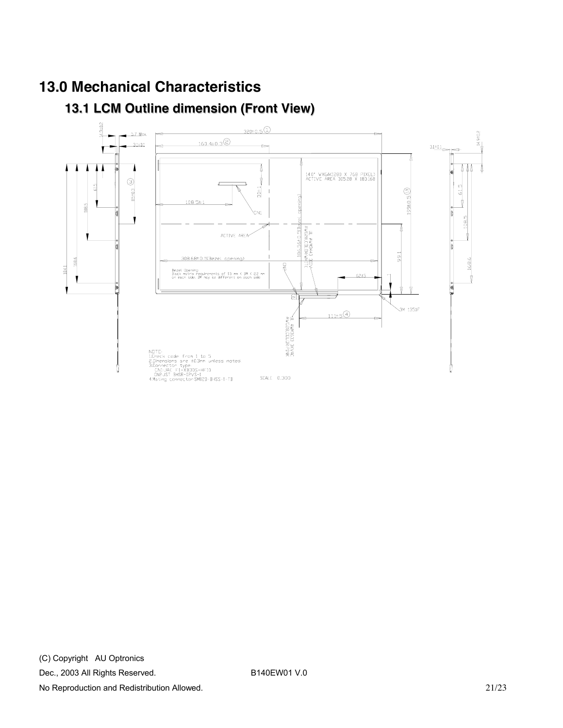## <span id="page-20-0"></span>**13.0 Mechanical Characteristics**

## **13.1 LCM Outline dimension (Front View)**

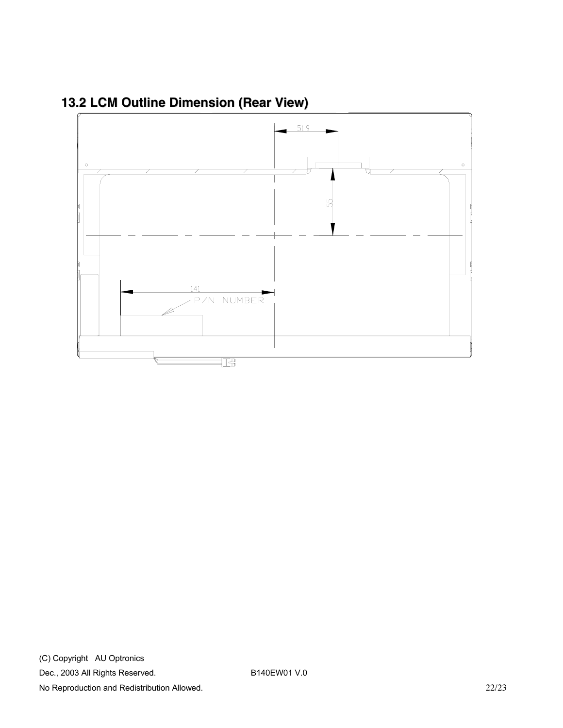

<span id="page-21-0"></span>**13.2 LCM Outline Dimension (Rear View)**